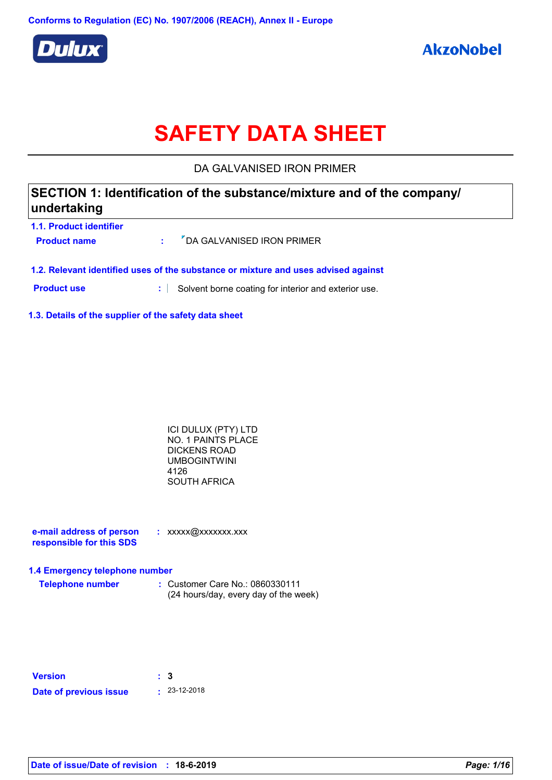

# **SAFETY DATA SHEET**

DA GALVANISED IRON PRIMER

### **1.1. Product identifier SECTION 1: Identification of the substance/mixture and of the company/ undertaking**

| <u>I.I. FIVUULLIUUIIIIIU</u> I<br><b>Product name</b>                              |  | : <sup>7</sup> DA GALVANISED IRON PRIMER |  |  |
|------------------------------------------------------------------------------------|--|------------------------------------------|--|--|
| 1.2. Relevant identified uses of the substance or mixture and uses advised against |  |                                          |  |  |

**Product use :** Solvent borne coating for interior and exterior use.

**1.3. Details of the supplier of the safety data sheet**

| ICI DULUX (PTY) LTD |  |
|---------------------|--|
| NO. 1 PAINTS PLACE  |  |
| DICKENS ROAD        |  |
| UMBOGINTWINI        |  |
| 4126                |  |
| SOUTH AFRICA        |  |
|                     |  |

| e-mail address of person | $:$ xxxxx@xxxxxxx.xxx |
|--------------------------|-----------------------|
| responsible for this SDS |                       |

#### **1.4 Emergency telephone number**

**Telephone number :** Customer Care No.: 0860330111 (24 hours/day, every day of the week)

| <b>Version</b>         | : 3 |                    |
|------------------------|-----|--------------------|
| Date of previous issue |     | $\cdot$ 23-12-2018 |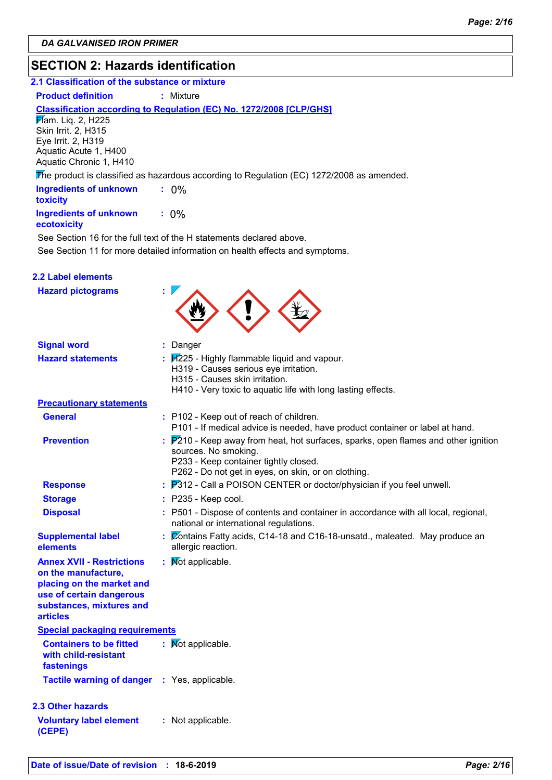### **SECTION 2: Hazards identification**

#### **2.1 Classification of the substance or mixture**

**Product definition : Mixture** 

#### **Classification according to Regulation (EC) No. 1272/2008 [CLP/GHS]**

**Flam.** Liq. 2, H225 Skin Irrit. 2, H315 Eye Irrit. 2, H319 Aquatic Acute 1, H400 Aquatic Chronic 1, H410

The product is classified as hazardous according to Regulation (EC) 1272/2008 as amended.

| <b>Ingredients of unknown</b><br>toxicity    | $: 0\%$ |  |
|----------------------------------------------|---------|--|
| <b>Ingredients of unknown</b><br>ecotoxicity | $: 0\%$ |  |

See Section 11 for more detailed information on health effects and symptoms. See Section 16 for the full text of the H statements declared above.

| 2.2 Label elements                                                                                                                                              |                                                                                                                                                                                                              |
|-----------------------------------------------------------------------------------------------------------------------------------------------------------------|--------------------------------------------------------------------------------------------------------------------------------------------------------------------------------------------------------------|
| <b>Hazard pictograms</b>                                                                                                                                        |                                                                                                                                                                                                              |
| <b>Signal word</b>                                                                                                                                              | : Danger                                                                                                                                                                                                     |
| <b>Hazard statements</b>                                                                                                                                        | $\frac{1}{2}$ $\frac{1}{2}$ - Highly flammable liquid and vapour.<br>H319 - Causes serious eye irritation.<br>H315 - Causes skin irritation.<br>H410 - Very toxic to aquatic life with long lasting effects. |
| <b>Precautionary statements</b>                                                                                                                                 |                                                                                                                                                                                                              |
| <b>General</b>                                                                                                                                                  | : P102 - Keep out of reach of children.<br>P101 - If medical advice is needed, have product container or label at hand.                                                                                      |
| <b>Prevention</b>                                                                                                                                               | : P210 - Keep away from heat, hot surfaces, sparks, open flames and other ignition<br>sources. No smoking.<br>P233 - Keep container tightly closed.<br>P262 - Do not get in eyes, on skin, or on clothing.   |
| <b>Response</b>                                                                                                                                                 | $\frac{1}{2}$ $\frac{1}{2}$ P312 - Call a POISON CENTER or doctor/physician if you feel unwell.                                                                                                              |
| <b>Storage</b>                                                                                                                                                  | $:$ P235 - Keep cool.                                                                                                                                                                                        |
| <b>Disposal</b>                                                                                                                                                 | : P501 - Dispose of contents and container in accordance with all local, regional,<br>national or international regulations.                                                                                 |
| <b>Supplemental label</b><br>elements                                                                                                                           | : Contains Fatty acids, C14-18 and C16-18-unsatd., maleated. May produce an<br>allergic reaction.                                                                                                            |
| <b>Annex XVII - Restrictions</b><br>on the manufacture,<br>placing on the market and<br>use of certain dangerous<br>substances, mixtures and<br><b>articles</b> | : Mot applicable.                                                                                                                                                                                            |
| <b>Special packaging requirements</b>                                                                                                                           |                                                                                                                                                                                                              |
| <b>Containers to be fitted</b><br>with child-resistant<br>fastenings                                                                                            | : Mot applicable.                                                                                                                                                                                            |
| Tactile warning of danger : Yes, applicable.                                                                                                                    |                                                                                                                                                                                                              |
| 2.3 Other hazards                                                                                                                                               |                                                                                                                                                                                                              |
| <b>Voluntary label element</b><br>(CEPE)                                                                                                                        | : Not applicable.                                                                                                                                                                                            |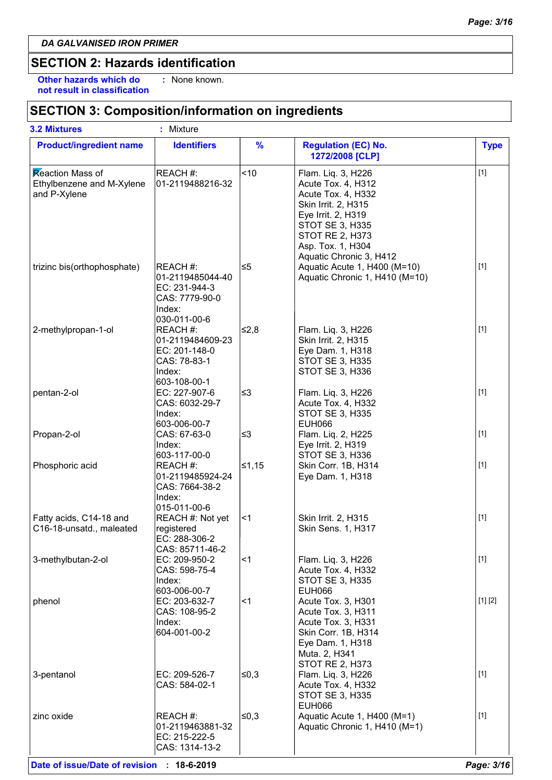**Other hazards which do : not result in classification** : None known.

### **SECTION 3: Composition/information on ingredients**

| <b>3.2 Mixtures</b>                                           | : Mixture                                                                                 |               |                                                                                                                                                                                                                 |             |
|---------------------------------------------------------------|-------------------------------------------------------------------------------------------|---------------|-----------------------------------------------------------------------------------------------------------------------------------------------------------------------------------------------------------------|-------------|
| <b>Product/ingredient name</b>                                | <b>Identifiers</b>                                                                        | $\frac{9}{6}$ | <b>Regulation (EC) No.</b><br>1272/2008 [CLP]                                                                                                                                                                   | <b>Type</b> |
| Reaction Mass of<br>Ethylbenzene and M-Xylene<br>and P-Xylene | REACH #:<br>01-2119488216-32                                                              | <10           | Flam. Liq. 3, H226<br>Acute Tox. 4, H312<br>Acute Tox. 4, H332<br>Skin Irrit. 2, H315<br>Eye Irrit. 2, H319<br><b>STOT SE 3, H335</b><br><b>STOT RE 2, H373</b><br>Asp. Tox. 1, H304<br>Aquatic Chronic 3, H412 | $[1]$       |
| trizinc bis(orthophosphate)                                   | REACH #:<br>01-2119485044-40<br>EC: 231-944-3<br>CAS: 7779-90-0<br>Index:<br>030-011-00-6 | ≤5            | Aquatic Acute 1, H400 (M=10)<br>Aquatic Chronic 1, H410 (M=10)                                                                                                                                                  | $[1]$       |
| 2-methylpropan-1-ol                                           | REACH #:<br>01-2119484609-23<br>EC: 201-148-0<br>CAS: 78-83-1<br>Index:<br>603-108-00-1   | l≤2,8         | Flam. Liq. 3, H226<br>Skin Irrit. 2, H315<br>Eye Dam. 1, H318<br><b>STOT SE 3, H335</b><br><b>STOT SE 3, H336</b>                                                                                               | $[1]$       |
| pentan-2-ol                                                   | EC: 227-907-6<br>CAS: 6032-29-7<br>Index:<br>603-006-00-7                                 | ≤3            | Flam. Liq. 3, H226<br>Acute Tox. 4, H332<br><b>STOT SE 3, H335</b><br><b>EUH066</b>                                                                                                                             | $[1]$       |
| Propan-2-ol                                                   | CAS: 67-63-0<br>Index:                                                                    | ∣≤3           | Flam. Liq. 2, H225<br>Eye Irrit. 2, H319                                                                                                                                                                        | $[1]$       |
| Phosphoric acid                                               | 603-117-00-0<br>REACH #:<br>01-2119485924-24<br>CAS: 7664-38-2<br>Index:<br>015-011-00-6  | $≤1,15$       | <b>STOT SE 3, H336</b><br>Skin Corr. 1B, H314<br>Eye Dam. 1, H318                                                                                                                                               | $[1]$       |
| Fatty acids, C14-18 and<br>C16-18-unsatd., maleated           | REACH #: Not yet<br>registered<br>EC: 288-306-2<br>CAS: 85711-46-2                        | $\leq$ 1      | Skin Irrit. 2, H315<br>Skin Sens. 1, H317                                                                                                                                                                       | $[1]$       |
| 3-methylbutan-2-ol                                            | EC: 209-950-2<br>CAS: 598-75-4<br>Index:<br>603-006-00-7                                  | $<$ 1         | Flam. Liq. 3, H226<br>Acute Tox. 4, H332<br><b>STOT SE 3, H335</b><br><b>EUH066</b>                                                                                                                             | $[1]$       |
| phenol                                                        | EC: 203-632-7<br>CAS: 108-95-2<br>Index:<br>604-001-00-2                                  | ∣<1           | Acute Tox. 3, H301<br>Acute Tox. 3, H311<br>Acute Tox. 3, H331<br>Skin Corr. 1B, H314<br>Eye Dam. 1, H318<br>Muta. 2, H341<br><b>STOT RE 2, H373</b>                                                            | [1] [2]     |
| 3-pentanol                                                    | EC: 209-526-7<br>CAS: 584-02-1                                                            | ≤0,3          | Flam. Liq. 3, H226<br>Acute Tox. 4, H332<br><b>STOT SE 3, H335</b><br><b>EUH066</b>                                                                                                                             | $[1]$       |
| zinc oxide                                                    | REACH #:<br>01-2119463881-32<br>EC: 215-222-5<br>CAS: 1314-13-2                           | ∣≤0,3         | Aquatic Acute 1, H400 (M=1)<br>Aquatic Chronic 1, H410 (M=1)                                                                                                                                                    | $[1]$       |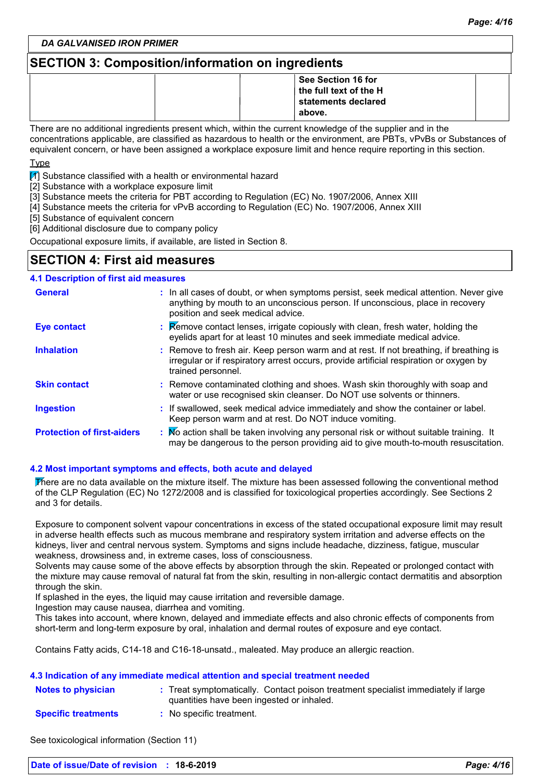### **SECTION 3: Composition/information on ingredients**

|  | See Section 16 for                     |  |
|--|----------------------------------------|--|
|  | $\vert$ the full text of the H $\vert$ |  |
|  | statements declared                    |  |
|  | above.                                 |  |

There are no additional ingredients present which, within the current knowledge of the supplier and in the concentrations applicable, are classified as hazardous to health or the environment, are PBTs, vPvBs or Substances of equivalent concern, or have been assigned a workplace exposure limit and hence require reporting in this section.

Type

 $\mathbb{Z}$  Substance classified with a health or environmental hazard

[2] Substance with a workplace exposure limit

[3] Substance meets the criteria for PBT according to Regulation (EC) No. 1907/2006, Annex XIII

[4] Substance meets the criteria for vPvB according to Regulation (EC) No. 1907/2006, Annex XIII

[5] Substance of equivalent concern

[6] Additional disclosure due to company policy

Occupational exposure limits, if available, are listed in Section 8.

### **SECTION 4: First aid measures**

#### **:** If swallowed, seek medical advice immediately and show the container or label. Keep person warm and at rest. Do NOT induce vomiting. Remove contact lenses, irrigate copiously with clean, fresh water, holding the **:** eyelids apart for at least 10 minutes and seek immediate medical advice. Remove contaminated clothing and shoes. Wash skin thoroughly with soap and **:** water or use recognised skin cleanser. Do NOT use solvents or thinners. **:** Remove to fresh air. Keep person warm and at rest. If not breathing, if breathing is irregular or if respiratory arrest occurs, provide artificial respiration or oxygen by trained personnel. General **In all cases of doubt, or when symptoms persist, seek medical attention. Never give <b>General** anything by mouth to an unconscious person. If unconscious, place in recovery position and seek medical advice. **Skin contact 4.1 Description of first aid measures Ingestion Inhalation Eye contact Protection of first-aiders** : No action shall be taken involving any personal risk or without suitable training. It may be dangerous to the person providing aid to give mouth-to-mouth resuscitation.

#### **4.2 Most important symptoms and effects, both acute and delayed**

There are no data available on the mixture itself. The mixture has been assessed following the conventional method of the CLP Regulation (EC) No 1272/2008 and is classified for toxicological properties accordingly. See Sections 2 and 3 for details.

Exposure to component solvent vapour concentrations in excess of the stated occupational exposure limit may result in adverse health effects such as mucous membrane and respiratory system irritation and adverse effects on the kidneys, liver and central nervous system. Symptoms and signs include headache, dizziness, fatigue, muscular weakness, drowsiness and, in extreme cases, loss of consciousness.

Solvents may cause some of the above effects by absorption through the skin. Repeated or prolonged contact with the mixture may cause removal of natural fat from the skin, resulting in non-allergic contact dermatitis and absorption through the skin.

If splashed in the eyes, the liquid may cause irritation and reversible damage.

Ingestion may cause nausea, diarrhea and vomiting.

This takes into account, where known, delayed and immediate effects and also chronic effects of components from short-term and long-term exposure by oral, inhalation and dermal routes of exposure and eye contact.

Contains Fatty acids, C14-18 and C16-18-unsatd., maleated. May produce an allergic reaction.

#### **4.3 Indication of any immediate medical attention and special treatment needed**

| <b>Notes to physician</b>  | : Treat symptomatically. Contact poison treatment specialist immediately if large<br>quantities have been ingested or inhaled. |  |
|----------------------------|--------------------------------------------------------------------------------------------------------------------------------|--|
| <b>Specific treatments</b> | : No specific treatment.                                                                                                       |  |

See toxicological information (Section 11)

| Date of issue/Date of revision : 18-6-2019 |  | Page: 4/16 |
|--------------------------------------------|--|------------|
|--------------------------------------------|--|------------|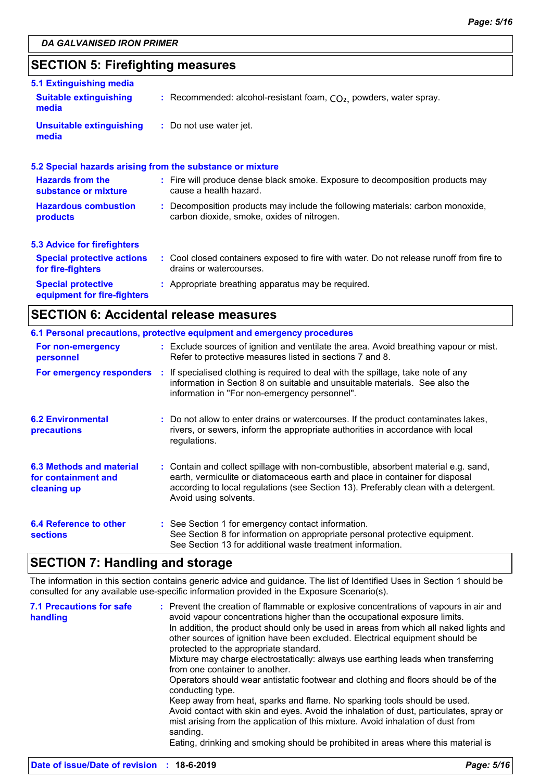### **SECTION 5: Firefighting measures**

| 5.1 Extinguishing media                                  |                                                                                                                              |
|----------------------------------------------------------|------------------------------------------------------------------------------------------------------------------------------|
| <b>Suitable extinguishing</b><br>media                   | : Recommended: alcohol-resistant foam, $CO2$ , powders, water spray.                                                         |
| Unsuitable extinguishing<br>media                        | : Do not use water jet.                                                                                                      |
|                                                          | 5.2 Special hazards arising from the substance or mixture                                                                    |
| <b>Hazards from the</b><br>substance or mixture          | : Fire will produce dense black smoke. Exposure to decomposition products may<br>cause a health hazard.                      |
| <b>Hazardous combustion</b><br>products                  | : Decomposition products may include the following materials: carbon monoxide,<br>carbon dioxide, smoke, oxides of nitrogen. |
| 5.3 Advice for firefighters                              |                                                                                                                              |
| <b>Special protective actions</b><br>for fire-fighters   | : Cool closed containers exposed to fire with water. Do not release runoff from fire to<br>drains or watercourses.           |
| <b>Special protective</b><br>equipment for fire-fighters | : Appropriate breathing apparatus may be required.                                                                           |

### **SECTION 6: Accidental release measures**

|                                                                | 6.1 Personal precautions, protective equipment and emergency procedures                                                                                                                                                                                                            |
|----------------------------------------------------------------|------------------------------------------------------------------------------------------------------------------------------------------------------------------------------------------------------------------------------------------------------------------------------------|
| For non-emergency<br>personnel                                 | : Exclude sources of ignition and ventilate the area. Avoid breathing vapour or mist.<br>Refer to protective measures listed in sections 7 and 8.                                                                                                                                  |
| For emergency responders                                       | : If specialised clothing is required to deal with the spillage, take note of any<br>information in Section 8 on suitable and unsuitable materials. See also the<br>information in "For non-emergency personnel".                                                                  |
| <b>6.2 Environmental</b><br>precautions                        | : Do not allow to enter drains or watercourses. If the product contaminates lakes,<br>rivers, or sewers, inform the appropriate authorities in accordance with local<br>regulations.                                                                                               |
| 6.3 Methods and material<br>for containment and<br>cleaning up | : Contain and collect spillage with non-combustible, absorbent material e.g. sand,<br>earth, vermiculite or diatomaceous earth and place in container for disposal<br>according to local regulations (see Section 13). Preferably clean with a detergent.<br>Avoid using solvents. |
| 6.4 Reference to other<br><b>sections</b>                      | : See Section 1 for emergency contact information.<br>See Section 8 for information on appropriate personal protective equipment.<br>See Section 13 for additional waste treatment information.                                                                                    |

### **SECTION 7: Handling and storage**

The information in this section contains generic advice and guidance. The list of Identified Uses in Section 1 should be consulted for any available use-specific information provided in the Exposure Scenario(s).

| <b>7.1 Precautions for safe</b><br>handling | : Prevent the creation of flammable or explosive concentrations of vapours in air and<br>avoid vapour concentrations higher than the occupational exposure limits.<br>In addition, the product should only be used in areas from which all naked lights and<br>other sources of ignition have been excluded. Electrical equipment should be<br>protected to the appropriate standard.<br>Mixture may charge electrostatically: always use earthing leads when transferring<br>from one container to another.<br>Operators should wear antistatic footwear and clothing and floors should be of the<br>conducting type.<br>Keep away from heat, sparks and flame. No sparking tools should be used.<br>Avoid contact with skin and eyes. Avoid the inhalation of dust, particulates, spray or<br>mist arising from the application of this mixture. Avoid inhalation of dust from<br>sanding.<br>Eating, drinking and smoking should be prohibited in areas where this material is |
|---------------------------------------------|-----------------------------------------------------------------------------------------------------------------------------------------------------------------------------------------------------------------------------------------------------------------------------------------------------------------------------------------------------------------------------------------------------------------------------------------------------------------------------------------------------------------------------------------------------------------------------------------------------------------------------------------------------------------------------------------------------------------------------------------------------------------------------------------------------------------------------------------------------------------------------------------------------------------------------------------------------------------------------------|
|                                             |                                                                                                                                                                                                                                                                                                                                                                                                                                                                                                                                                                                                                                                                                                                                                                                                                                                                                                                                                                                   |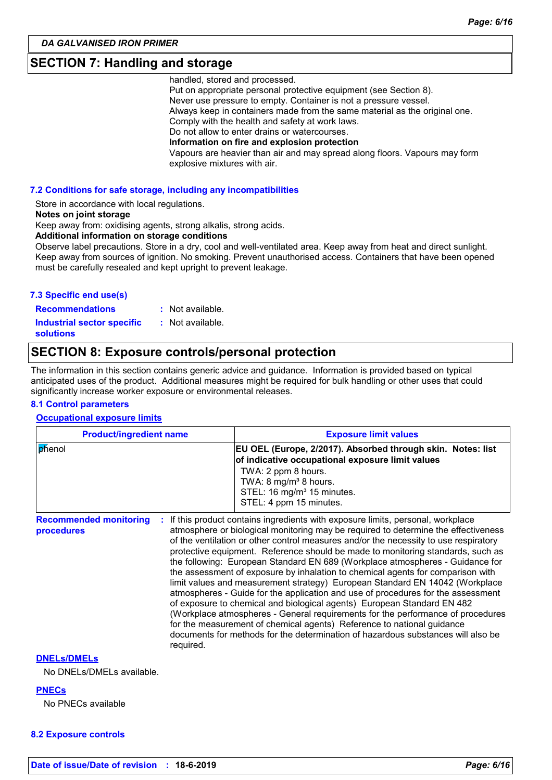### **SECTION 7: Handling and storage**

handled, stored and processed.

Put on appropriate personal protective equipment (see Section 8). Never use pressure to empty. Container is not a pressure vessel. Always keep in containers made from the same material as the original one. Comply with the health and safety at work laws. Do not allow to enter drains or watercourses. **Information on fire and explosion protection** Vapours are heavier than air and may spread along floors. Vapours may form explosive mixtures with air.

#### **7.2 Conditions for safe storage, including any incompatibilities**

Store in accordance with local regulations.

#### **Notes on joint storage**

Keep away from: oxidising agents, strong alkalis, strong acids.

**Additional information on storage conditions**

Observe label precautions. Store in a dry, cool and well-ventilated area. Keep away from heat and direct sunlight. Keep away from sources of ignition. No smoking. Prevent unauthorised access. Containers that have been opened must be carefully resealed and kept upright to prevent leakage.

#### **7.3 Specific end use(s)**

**Recommendations :**

- : Not available. : Not available.
- **Industrial sector specific : solutions**

### **SECTION 8: Exposure controls/personal protection**

The information in this section contains generic advice and guidance. Information is provided based on typical anticipated uses of the product. Additional measures might be required for bulk handling or other uses that could significantly increase worker exposure or environmental releases.

#### **8.1 Control parameters**

**Occupational exposure limits**

| <b>Product/ingredient name</b> | <b>Exposure limit values</b>                                                                                                                                                                                                                            |
|--------------------------------|---------------------------------------------------------------------------------------------------------------------------------------------------------------------------------------------------------------------------------------------------------|
| phenol                         | <b>EU OEL (Europe, 2/2017). Absorbed through skin. Notes: list</b><br>of indicative occupational exposure limit values<br>TWA: 2 ppm 8 hours.<br>TWA: 8 mg/m <sup>3</sup> 8 hours.<br>STEL: 16 mg/m <sup>3</sup> 15 minutes.<br>STEL: 4 ppm 15 minutes. |

**Recommended monitoring procedures :** If this product contains ingredients with exposure limits, personal, workplace atmosphere or biological monitoring may be required to determine the effectiveness of the ventilation or other control measures and/or the necessity to use respiratory protective equipment. Reference should be made to monitoring standards, such as the following: European Standard EN 689 (Workplace atmospheres - Guidance for the assessment of exposure by inhalation to chemical agents for comparison with limit values and measurement strategy) European Standard EN 14042 (Workplace atmospheres - Guide for the application and use of procedures for the assessment of exposure to chemical and biological agents) European Standard EN 482 (Workplace atmospheres - General requirements for the performance of procedures for the measurement of chemical agents) Reference to national guidance documents for methods for the determination of hazardous substances will also be required.

#### **DNELs/DMELs**

No DNELs/DMELs available.

#### **PNECs**

No PNECs available

#### **8.2 Exposure controls**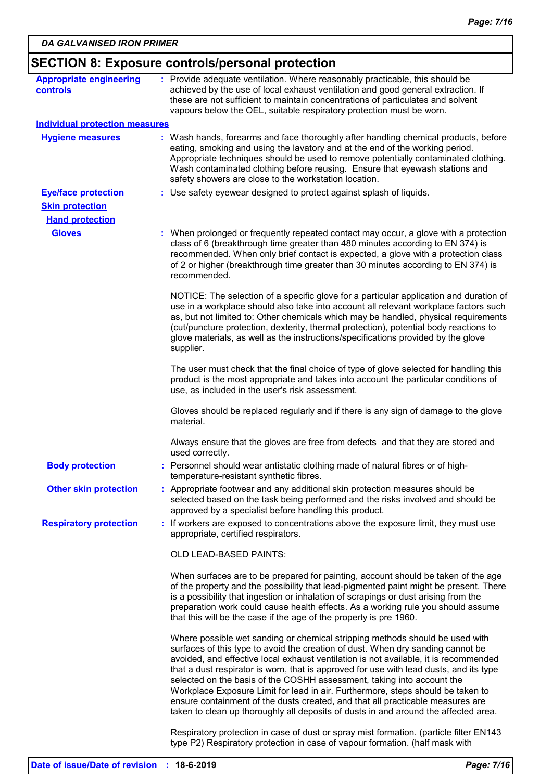| <b>Appropriate engineering</b>        | : Provide adequate ventilation. Where reasonably practicable, this should be                                                                                                                                                                                                                                                                                                                                                                                                                                                                                                                                                                                                            |
|---------------------------------------|-----------------------------------------------------------------------------------------------------------------------------------------------------------------------------------------------------------------------------------------------------------------------------------------------------------------------------------------------------------------------------------------------------------------------------------------------------------------------------------------------------------------------------------------------------------------------------------------------------------------------------------------------------------------------------------------|
| <b>controls</b>                       | achieved by the use of local exhaust ventilation and good general extraction. If<br>these are not sufficient to maintain concentrations of particulates and solvent<br>vapours below the OEL, suitable respiratory protection must be worn.                                                                                                                                                                                                                                                                                                                                                                                                                                             |
| <b>Individual protection measures</b> |                                                                                                                                                                                                                                                                                                                                                                                                                                                                                                                                                                                                                                                                                         |
| <b>Hygiene measures</b>               | : Wash hands, forearms and face thoroughly after handling chemical products, before<br>eating, smoking and using the lavatory and at the end of the working period.<br>Appropriate techniques should be used to remove potentially contaminated clothing.<br>Wash contaminated clothing before reusing. Ensure that eyewash stations and<br>safety showers are close to the workstation location.                                                                                                                                                                                                                                                                                       |
| <b>Eye/face protection</b>            | : Use safety eyewear designed to protect against splash of liquids.                                                                                                                                                                                                                                                                                                                                                                                                                                                                                                                                                                                                                     |
| <b>Skin protection</b>                |                                                                                                                                                                                                                                                                                                                                                                                                                                                                                                                                                                                                                                                                                         |
| <b>Hand protection</b>                |                                                                                                                                                                                                                                                                                                                                                                                                                                                                                                                                                                                                                                                                                         |
| <b>Gloves</b>                         | : When prolonged or frequently repeated contact may occur, a glove with a protection<br>class of 6 (breakthrough time greater than 480 minutes according to EN 374) is<br>recommended. When only brief contact is expected, a glove with a protection class<br>of 2 or higher (breakthrough time greater than 30 minutes according to EN 374) is<br>recommended.                                                                                                                                                                                                                                                                                                                        |
|                                       | NOTICE: The selection of a specific glove for a particular application and duration of<br>use in a workplace should also take into account all relevant workplace factors such<br>as, but not limited to: Other chemicals which may be handled, physical requirements<br>(cut/puncture protection, dexterity, thermal protection), potential body reactions to<br>glove materials, as well as the instructions/specifications provided by the glove<br>supplier.                                                                                                                                                                                                                        |
|                                       | The user must check that the final choice of type of glove selected for handling this<br>product is the most appropriate and takes into account the particular conditions of<br>use, as included in the user's risk assessment.                                                                                                                                                                                                                                                                                                                                                                                                                                                         |
|                                       | Gloves should be replaced regularly and if there is any sign of damage to the glove<br>material.                                                                                                                                                                                                                                                                                                                                                                                                                                                                                                                                                                                        |
|                                       | Always ensure that the gloves are free from defects and that they are stored and<br>used correctly.                                                                                                                                                                                                                                                                                                                                                                                                                                                                                                                                                                                     |
| <b>Body protection</b>                | Personnel should wear antistatic clothing made of natural fibres or of high-<br>temperature-resistant synthetic fibres.                                                                                                                                                                                                                                                                                                                                                                                                                                                                                                                                                                 |
| <b>Other skin protection</b>          | : Appropriate footwear and any additional skin protection measures should be<br>selected based on the task being performed and the risks involved and should be<br>approved by a specialist before handling this product.                                                                                                                                                                                                                                                                                                                                                                                                                                                               |
| <b>Respiratory protection</b>         | : If workers are exposed to concentrations above the exposure limit, they must use<br>appropriate, certified respirators.                                                                                                                                                                                                                                                                                                                                                                                                                                                                                                                                                               |
|                                       | OLD LEAD-BASED PAINTS:                                                                                                                                                                                                                                                                                                                                                                                                                                                                                                                                                                                                                                                                  |
|                                       | When surfaces are to be prepared for painting, account should be taken of the age<br>of the property and the possibility that lead-pigmented paint might be present. There<br>is a possibility that ingestion or inhalation of scrapings or dust arising from the<br>preparation work could cause health effects. As a working rule you should assume<br>that this will be the case if the age of the property is pre 1960.                                                                                                                                                                                                                                                             |
|                                       | Where possible wet sanding or chemical stripping methods should be used with<br>surfaces of this type to avoid the creation of dust. When dry sanding cannot be<br>avoided, and effective local exhaust ventilation is not available, it is recommended<br>that a dust respirator is worn, that is approved for use with lead dusts, and its type<br>selected on the basis of the COSHH assessment, taking into account the<br>Workplace Exposure Limit for lead in air. Furthermore, steps should be taken to<br>ensure containment of the dusts created, and that all practicable measures are<br>taken to clean up thoroughly all deposits of dusts in and around the affected area. |
|                                       | Respiratory protection in case of dust or spray mist formation. (particle filter EN143<br>type P2) Respiratory protection in case of vapour formation. (half mask with                                                                                                                                                                                                                                                                                                                                                                                                                                                                                                                  |
|                                       |                                                                                                                                                                                                                                                                                                                                                                                                                                                                                                                                                                                                                                                                                         |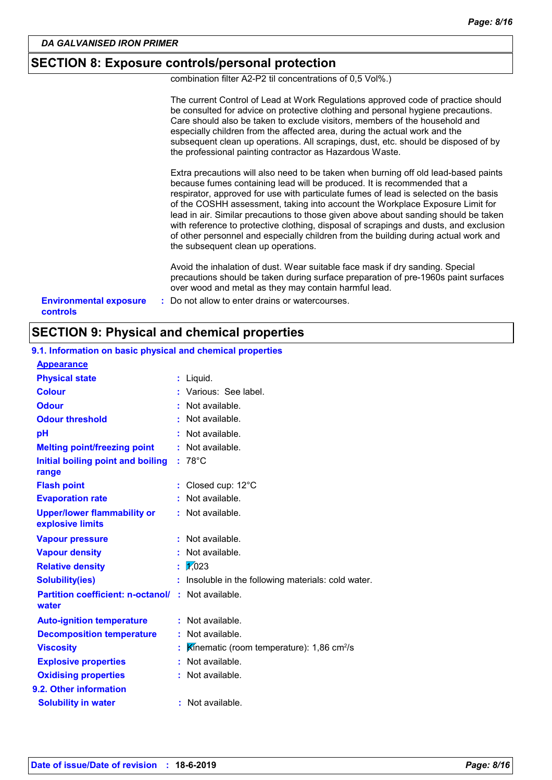### **SECTION 8: Exposure controls/personal protection**

combination filter A2-P2 til concentrations of 0,5 Vol%.)

|                                                  | The current Control of Lead at Work Regulations approved code of practice should<br>be consulted for advice on protective clothing and personal hygiene precautions.<br>Care should also be taken to exclude visitors, members of the household and<br>especially children from the affected area, during the actual work and the<br>subsequent clean up operations. All scrapings, dust, etc. should be disposed of by<br>the professional painting contractor as Hazardous Waste.                                                                                                                                                                    |
|--------------------------------------------------|--------------------------------------------------------------------------------------------------------------------------------------------------------------------------------------------------------------------------------------------------------------------------------------------------------------------------------------------------------------------------------------------------------------------------------------------------------------------------------------------------------------------------------------------------------------------------------------------------------------------------------------------------------|
|                                                  | Extra precautions will also need to be taken when burning off old lead-based paints<br>because fumes containing lead will be produced. It is recommended that a<br>respirator, approved for use with particulate fumes of lead is selected on the basis<br>of the COSHH assessment, taking into account the Workplace Exposure Limit for<br>lead in air. Similar precautions to those given above about sanding should be taken<br>with reference to protective clothing, disposal of scrapings and dusts, and exclusion<br>of other personnel and especially children from the building during actual work and<br>the subsequent clean up operations. |
|                                                  | Avoid the inhalation of dust. Wear suitable face mask if dry sanding. Special<br>precautions should be taken during surface preparation of pre-1960s paint surfaces<br>over wood and metal as they may contain harmful lead.                                                                                                                                                                                                                                                                                                                                                                                                                           |
| <b>Environmental exposure</b><br><b>controls</b> | : Do not allow to enter drains or watercourses.                                                                                                                                                                                                                                                                                                                                                                                                                                                                                                                                                                                                        |

### **SECTION 9: Physical and chemical properties**

| <b>Appearance</b>                                      |    |                                                         |
|--------------------------------------------------------|----|---------------------------------------------------------|
| <b>Physical state</b>                                  | t  | Liquid.                                                 |
| <b>Colour</b>                                          |    | Various: See label.                                     |
| <b>Odour</b>                                           |    | Not available.                                          |
| <b>Odour threshold</b>                                 |    | Not available.                                          |
| рH                                                     |    | Not available.                                          |
| <b>Melting point/freezing point</b>                    | ÷  | Not available.                                          |
| Initial boiling point and boiling<br>range             | ÷  | $78^{\circ}$ C                                          |
| <b>Flash point</b>                                     | ÷. | Closed cup: 12°C                                        |
| <b>Evaporation rate</b>                                |    | Not available.                                          |
| <b>Upper/lower flammability or</b><br>explosive limits |    | : Not available.                                        |
| <b>Vapour pressure</b>                                 |    | Not available.                                          |
| <b>Vapour density</b>                                  |    | Not available.                                          |
| <b>Relative density</b>                                |    |                                                         |
|                                                        | t  | 1/023                                                   |
| <b>Solubility(ies)</b>                                 |    | Insoluble in the following materials: cold water.       |
| <b>Partition coefficient: n-octanol/</b><br>water      |    | : Not available.                                        |
| <b>Auto-ignition temperature</b>                       |    | Not available.                                          |
| <b>Decomposition temperature</b>                       |    | Not available.                                          |
| <b>Viscosity</b>                                       | t  | Kinematic (room temperature): $1,86$ cm <sup>2</sup> /s |
| <b>Explosive properties</b>                            |    | Not available.                                          |
| <b>Oxidising properties</b>                            |    | : Not available.                                        |
| 9.2. Other information                                 |    |                                                         |

### **9.1. Information on basic physical and chemical properties**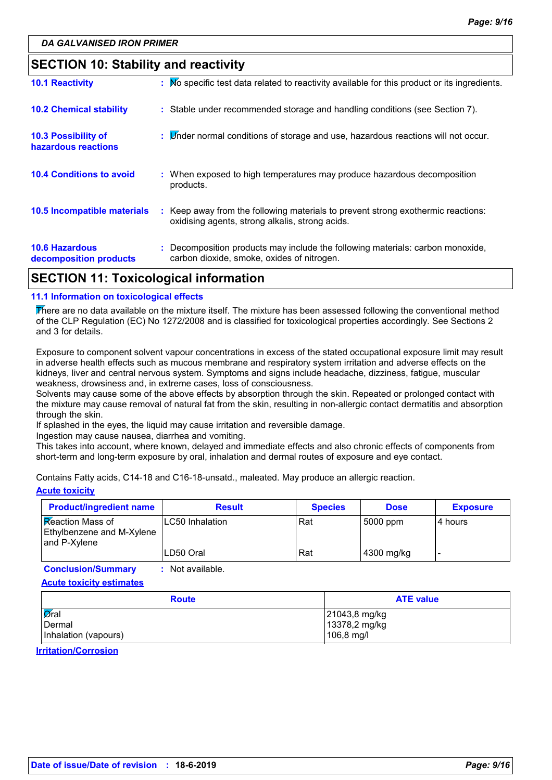### **SECTION 10: Stability and reactivity**

| <b>SECTION 11: Toxicological information</b>    |                                                                                                                                     |
|-------------------------------------------------|-------------------------------------------------------------------------------------------------------------------------------------|
| <b>10.6 Hazardous</b><br>decomposition products | : Decomposition products may include the following materials: carbon monoxide,<br>carbon dioxide, smoke, oxides of nitrogen.        |
| 10.5 Incompatible materials                     | : Keep away from the following materials to prevent strong exothermic reactions:<br>oxidising agents, strong alkalis, strong acids. |
| <b>10.4 Conditions to avoid</b>                 | : When exposed to high temperatures may produce hazardous decomposition<br>products.                                                |
| 10.3 Possibility of<br>hazardous reactions      | : <i>Under normal conditions of storage and use</i> , hazardous reactions will not occur.                                           |
| <b>10.2 Chemical stability</b>                  | : Stable under recommended storage and handling conditions (see Section 7).                                                         |
| <b>10.1 Reactivity</b>                          | : Mo specific test data related to reactivity available for this product or its ingredients.                                        |

#### **11.1 Information on toxicological effects**

There are no data available on the mixture itself. The mixture has been assessed following the conventional method of the CLP Regulation (EC) No 1272/2008 and is classified for toxicological properties accordingly. See Sections 2 and 3 for details.

Exposure to component solvent vapour concentrations in excess of the stated occupational exposure limit may result in adverse health effects such as mucous membrane and respiratory system irritation and adverse effects on the kidneys, liver and central nervous system. Symptoms and signs include headache, dizziness, fatigue, muscular weakness, drowsiness and, in extreme cases, loss of consciousness.

Solvents may cause some of the above effects by absorption through the skin. Repeated or prolonged contact with the mixture may cause removal of natural fat from the skin, resulting in non-allergic contact dermatitis and absorption through the skin.

If splashed in the eyes, the liquid may cause irritation and reversible damage.

Ingestion may cause nausea, diarrhea and vomiting.

This takes into account, where known, delayed and immediate effects and also chronic effects of components from short-term and long-term exposure by oral, inhalation and dermal routes of exposure and eye contact.

Contains Fatty acids, C14-18 and C16-18-unsatd., maleated. May produce an allergic reaction.

#### **Acute toxicity**

| <b>Product/ingredient name</b>                                              | <b>Result</b>   | <b>Species</b> | <b>Dose</b> | <b>Exposure</b> |
|-----------------------------------------------------------------------------|-----------------|----------------|-------------|-----------------|
| <b>Reaction Mass of</b><br><b>Ethylbenzene and M-Xylene</b><br>and P-Xylene | LC50 Inhalation | Rat            | 5000 ppm    | 4 hours         |
|                                                                             | ILD50 Oral      | Rat            | 4300 mg/kg  |                 |

**Conclusion/Summary :** Not available.

**Acute toxicity estimates**

| <b>Route</b>                 | <b>ATE value</b> |
|------------------------------|------------------|
| $\overline{\varnothing}$ ral | 21043,8 mg/kg    |
| Dermal                       | 13378,2 mg/kg    |
| Inhalation (vapours)         | 106,8 mg/l       |

**Irritation/Corrosion**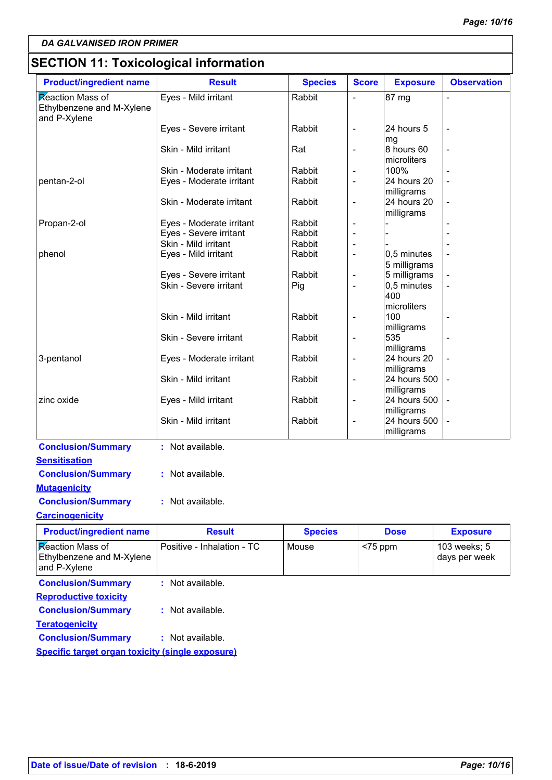## **SECTION 11: Toxicological information**

| <b>Product/ingredient name</b>                                       | <b>Result</b>              | <b>Species</b> | <b>Score</b>             | <b>Exposure</b>           | <b>Observation</b> |
|----------------------------------------------------------------------|----------------------------|----------------|--------------------------|---------------------------|--------------------|
| <b>Reaction Mass of</b><br>Ethylbenzene and M-Xylene<br>and P-Xylene | Eyes - Mild irritant       | Rabbit         |                          | 87 mg                     |                    |
|                                                                      | Eyes - Severe irritant     | Rabbit         | $\overline{\phantom{a}}$ | 24 hours 5<br>mg          |                    |
|                                                                      | Skin - Mild irritant       | Rat            | $\overline{a}$           | 8 hours 60<br>microliters |                    |
|                                                                      | Skin - Moderate irritant   | Rabbit         | $\overline{\phantom{a}}$ | 100%                      |                    |
| pentan-2-ol                                                          | Eyes - Moderate irritant   | Rabbit         | $\overline{a}$           | 24 hours 20<br>milligrams |                    |
|                                                                      | Skin - Moderate irritant   | Rabbit         | $\overline{a}$           | 24 hours 20<br>milligrams |                    |
| Propan-2-ol                                                          | Eyes - Moderate irritant   | Rabbit         |                          |                           |                    |
|                                                                      | Eyes - Severe irritant     | Rabbit         | $\overline{a}$           |                           |                    |
|                                                                      | Skin - Mild irritant       | Rabbit         | $\overline{a}$           |                           |                    |
| phenol                                                               | Eyes - Mild irritant       | Rabbit         | $\overline{\phantom{a}}$ | 0,5 minutes               |                    |
|                                                                      |                            |                |                          | 5 milligrams              |                    |
|                                                                      | Eyes - Severe irritant     | Rabbit         | $\overline{a}$           | 5 milligrams              |                    |
|                                                                      | Skin - Severe irritant     | Pig            |                          | 0,5 minutes               |                    |
|                                                                      |                            |                |                          | 400                       |                    |
|                                                                      |                            |                |                          | microliters               |                    |
|                                                                      | Skin - Mild irritant       | Rabbit         | $\overline{a}$           | 100                       |                    |
|                                                                      |                            |                |                          | milligrams                |                    |
|                                                                      | Skin - Severe irritant     | Rabbit         | $\overline{\phantom{a}}$ | 535                       |                    |
|                                                                      |                            |                |                          | milligrams                |                    |
| 3-pentanol                                                           | Eyes - Moderate irritant   | Rabbit         | $\overline{\phantom{0}}$ | 24 hours 20               |                    |
|                                                                      |                            |                |                          | milligrams                |                    |
|                                                                      | Skin - Mild irritant       | Rabbit         | $\overline{\phantom{0}}$ | 24 hours 500              |                    |
|                                                                      |                            |                |                          | milligrams                |                    |
| zinc oxide                                                           | Eyes - Mild irritant       | Rabbit         | $\overline{a}$           | 24 hours 500              |                    |
|                                                                      |                            |                |                          | milligrams                |                    |
|                                                                      | Skin - Mild irritant       | Rabbit         | $\overline{\phantom{0}}$ | 24 hours 500              |                    |
|                                                                      |                            |                |                          | milligrams                |                    |
| <b>Conclusion/Summary</b>                                            | : Not available.           |                |                          |                           |                    |
| <b>Sensitisation</b>                                                 |                            |                |                          |                           |                    |
| <b>Conclusion/Summary</b>                                            | : Not available.           |                |                          |                           |                    |
|                                                                      |                            |                |                          |                           |                    |
| <b>Mutagenicity</b>                                                  |                            |                |                          |                           |                    |
| <b>Conclusion/Summary</b>                                            | : Not available.           |                |                          |                           |                    |
| <b>Carcinogenicity</b>                                               |                            |                |                          |                           |                    |
| <b>Product/ingredient name</b>                                       | <b>Result</b>              | <b>Species</b> |                          | <b>Dose</b>               | <b>Exposure</b>    |
| Reaction Mass of                                                     | Positive - Inhalation - TC | Mouse          | $<$ 75 ppm               |                           | 103 weeks; 5       |
| Ethylbenzene and M-Xylene                                            |                            |                |                          |                           | days per week      |
| and P-Xylene                                                         |                            |                |                          |                           |                    |
|                                                                      |                            |                |                          |                           |                    |
| <b>Conclusion/Summary</b>                                            | : Not available.           |                |                          |                           |                    |
| <b>Reproductive toxicity</b>                                         |                            |                |                          |                           |                    |
| <b>Conclusion/Summary</b>                                            | : Not available.           |                |                          |                           |                    |
| <b>Teratogenicity</b>                                                |                            |                |                          |                           |                    |
| <b>Conclusion/Summary</b>                                            | : Not available.           |                |                          |                           |                    |
| <b>Specific target organ toxicity (single exposure)</b>              |                            |                |                          |                           |                    |
|                                                                      |                            |                |                          |                           |                    |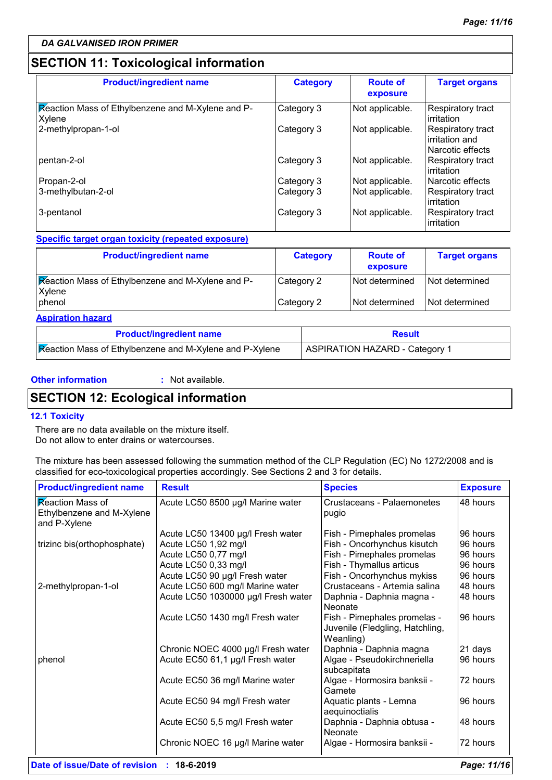### **SECTION 11: Toxicological information**

| <b>Product/ingredient name</b>                              | <b>Category</b> | <b>Route of</b><br>exposure | <b>Target organs</b>                                    |
|-------------------------------------------------------------|-----------------|-----------------------------|---------------------------------------------------------|
| Reaction Mass of Ethylbenzene and M-Xylene and P-<br>Xylene | Category 3      | Not applicable.             | Respiratory tract<br>irritation                         |
| 2-methylpropan-1-ol                                         | Category 3      | Not applicable.             | Respiratory tract<br>irritation and<br>Narcotic effects |
| pentan-2-ol                                                 | Category 3      | Not applicable.             | Respiratory tract<br>irritation                         |
| Propan-2-ol                                                 | Category 3      | Not applicable.             | Narcotic effects                                        |
| 3-methylbutan-2-ol                                          | Category 3      | Not applicable.             | Respiratory tract<br>irritation                         |
| 3-pentanol                                                  | Category 3      | Not applicable.             | Respiratory tract<br>irritation                         |

#### **Specific target organ toxicity (repeated exposure)**

| <b>Product/ingredient name</b>                              | <b>Category</b> | <b>Route of</b><br>exposure | <b>Target organs</b> |
|-------------------------------------------------------------|-----------------|-----------------------------|----------------------|
| Reaction Mass of Ethylbenzene and M-Xylene and P-<br>Xylene | Category 2      | Not determined              | Not determined       |
| phenol                                                      | Category 2      | l Not determined            | Not determined       |

#### **Aspiration hazard**

| <b>Product/ingredient name</b>                          | Result                                |
|---------------------------------------------------------|---------------------------------------|
| Reaction Mass of Ethylbenzene and M-Xylene and P-Xylene | <b>ASPIRATION HAZARD - Category 1</b> |

#### **Other information :**

: Not available.

### **SECTION 12: Ecological information**

#### **12.1 Toxicity**

There are no data available on the mixture itself. Do not allow to enter drains or watercourses.

The mixture has been assessed following the summation method of the CLP Regulation (EC) No 1272/2008 and is classified for eco-toxicological properties accordingly. See Sections 2 and 3 for details.

| <b>Product/ingredient name</b>                                       | <b>Result</b>                                                                              | <b>Species</b>                                                                          | <b>Exposure</b>                  |
|----------------------------------------------------------------------|--------------------------------------------------------------------------------------------|-----------------------------------------------------------------------------------------|----------------------------------|
| <b>Reaction Mass of</b><br>Ethylbenzene and M-Xylene<br>and P-Xylene | Acute LC50 8500 µg/l Marine water                                                          | Crustaceans - Palaemonetes<br>pugio                                                     | 48 hours                         |
| trizinc bis(orthophosphate)                                          | Acute LC50 13400 µg/l Fresh water<br>Acute LC50 1,92 mg/l<br>Acute LC50 0,77 mg/l          | Fish - Pimephales promelas<br>Fish - Oncorhynchus kisutch<br>Fish - Pimephales promelas | 96 hours<br>96 hours<br>96 hours |
| 2-methylpropan-1-ol                                                  | Acute LC50 0,33 mg/l<br>Acute LC50 90 µg/l Fresh water<br>Acute LC50 600 mg/l Marine water | Fish - Thymallus articus<br>Fish - Oncorhynchus mykiss<br>Crustaceans - Artemia salina  | 96 hours<br>96 hours<br>48 hours |
|                                                                      | Acute LC50 1030000 µg/l Fresh water<br>Acute LC50 1430 mg/l Fresh water                    | Daphnia - Daphnia magna -<br>Neonate<br>Fish - Pimephales promelas -                    | 48 hours<br>96 hours             |
|                                                                      |                                                                                            | Juvenile (Fledgling, Hatchling,<br>Weanling)                                            |                                  |
| phenol                                                               | Chronic NOEC 4000 µg/l Fresh water<br>Acute EC50 61,1 µg/l Fresh water                     | Daphnia - Daphnia magna<br>Algae - Pseudokirchneriella<br>subcapitata                   | 21 days<br>96 hours              |
|                                                                      | Acute EC50 36 mg/l Marine water                                                            | Algae - Hormosira banksii -<br>Gamete                                                   | 72 hours                         |
|                                                                      | Acute EC50 94 mg/l Fresh water                                                             | Aquatic plants - Lemna<br>aequinoctialis                                                | 96 hours                         |
|                                                                      | Acute EC50 5,5 mg/l Fresh water                                                            | Daphnia - Daphnia obtusa -<br>Neonate                                                   | 48 hours                         |
|                                                                      | Chronic NOEC 16 µg/l Marine water                                                          | Algae - Hormosira banksii -                                                             | 72 hours                         |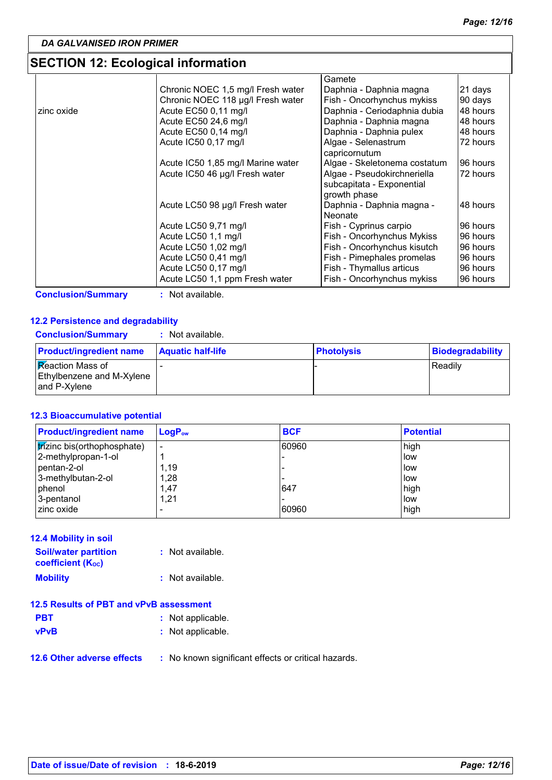### **SECTION 12: Ecological information**

|            |                                   | Gamete                       |          |
|------------|-----------------------------------|------------------------------|----------|
|            | Chronic NOEC 1,5 mg/l Fresh water | Daphnia - Daphnia magna      | 21 days  |
|            | Chronic NOEC 118 µg/l Fresh water | Fish - Oncorhynchus mykiss   | 90 days  |
| zinc oxide | Acute EC50 0,11 mg/l              | Daphnia - Ceriodaphnia dubia | 48 hours |
|            | Acute EC50 24,6 mg/l              | Daphnia - Daphnia magna      | 48 hours |
|            | Acute EC50 0,14 mg/l              | Daphnia - Daphnia pulex      | 48 hours |
|            | Acute IC50 0,17 mg/l              | Algae - Selenastrum          | 72 hours |
|            |                                   | capricornutum                |          |
|            | Acute IC50 1,85 mg/l Marine water | Algae - Skeletonema costatum | 96 hours |
|            | Acute IC50 46 µg/l Fresh water    | Algae - Pseudokirchneriella  | 72 hours |
|            |                                   | subcapitata - Exponential    |          |
|            |                                   | growth phase                 |          |
|            | Acute LC50 98 µg/l Fresh water    | Daphnia - Daphnia magna -    | 48 hours |
|            |                                   | Neonate                      |          |
|            | Acute LC50 9,71 mg/l              | Fish - Cyprinus carpio       | 96 hours |
|            | Acute LC50 1,1 mg/l               | Fish - Oncorhynchus Mykiss   | 96 hours |
|            | Acute LC50 1,02 mg/l              | Fish - Oncorhynchus kisutch  | 96 hours |
|            | Acute LC50 0,41 mg/l              | Fish - Pimephales promelas   | 96 hours |
|            | Acute LC50 0,17 mg/l              | Fish - Thymallus articus     | 96 hours |
|            | Acute LC50 1,1 ppm Fresh water    | Fish - Oncorhynchus mykiss   | 96 hours |

**Conclusion/Summary :** Not available.

#### **12.2 Persistence and degradability**

|  | <b>Conclusion/Summary</b> | : Not available. |
|--|---------------------------|------------------|
|--|---------------------------|------------------|

| <b>Product/ingredient name</b>                                       | <b>Aquatic half-life</b> | <b>Photolysis</b> | <b>Biodegradability</b> |
|----------------------------------------------------------------------|--------------------------|-------------------|-------------------------|
| <b>Reaction Mass of</b><br>Ethylbenzene and M-Xylene<br>and P-Xvlene |                          |                   | <b>Readilv</b>          |

#### **12.3 Bioaccumulative potential**

| <b>Product/ingredient name</b>      | $LogP_{ow}$ | <b>BCF</b> | <b>Potential</b> |
|-------------------------------------|-------------|------------|------------------|
| <b>tr</b> izinc bis(orthophosphate) |             | 60960      | high             |
| 2-methylpropan-1-ol                 |             |            | low              |
| l pentan-2-ol                       | 1.19        |            | low              |
| 3-methylbutan-2-ol                  | 1,28        |            | low              |
| phenol                              | 1,47        | 647        | high             |
| 3-pentanol                          | 1,21        |            | low              |
| Izinc oxide                         |             | 60960      | high             |

| <b>12.4 Mobility in soil</b>                            |                  |
|---------------------------------------------------------|------------------|
| <b>Soil/water partition</b><br><b>coefficient (Koc)</b> | : Not available. |
| <b>Mobility</b>                                         | : Not available. |

### **12.5 Results of PBT and vPvB assessment**

- **PBT :** Not applicable. **vPvB :** Not applicable.
	-
- **12.6 Other adverse effects** : No known significant effects or critical hazards.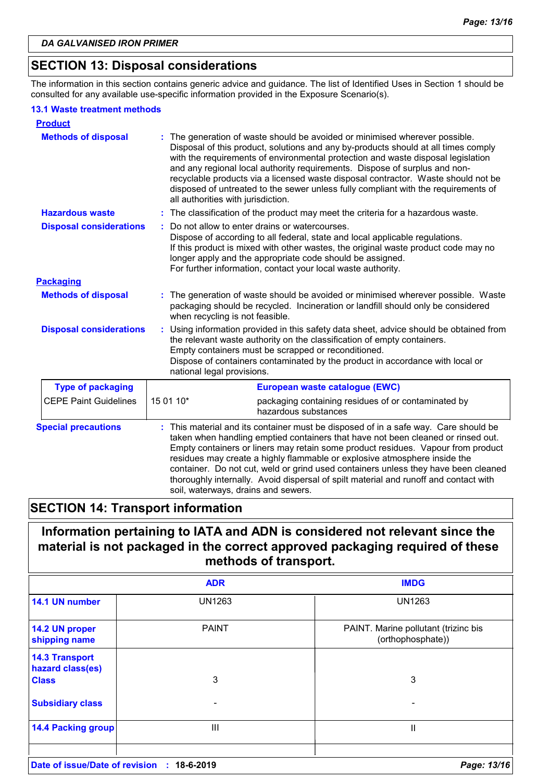### **SECTION 13: Disposal considerations**

The information in this section contains generic advice and guidance. The list of Identified Uses in Section 1 should be consulted for any available use-specific information provided in the Exposure Scenario(s).

#### **13.1 Waste treatment methods**

| <b>Product</b>                 |                                                                                                                                                                                                                                                                                                                                                                                                                                                                                                                                                             |  |  |
|--------------------------------|-------------------------------------------------------------------------------------------------------------------------------------------------------------------------------------------------------------------------------------------------------------------------------------------------------------------------------------------------------------------------------------------------------------------------------------------------------------------------------------------------------------------------------------------------------------|--|--|
| <b>Methods of disposal</b>     | The generation of waste should be avoided or minimised wherever possible.<br>Disposal of this product, solutions and any by-products should at all times comply<br>with the requirements of environmental protection and waste disposal legislation<br>and any regional local authority requirements. Dispose of surplus and non-<br>recyclable products via a licensed waste disposal contractor. Waste should not be<br>disposed of untreated to the sewer unless fully compliant with the requirements of<br>all authorities with jurisdiction.          |  |  |
| <b>Hazardous waste</b>         | : The classification of the product may meet the criteria for a hazardous waste.                                                                                                                                                                                                                                                                                                                                                                                                                                                                            |  |  |
| <b>Disposal considerations</b> | Do not allow to enter drains or watercourses.<br>Dispose of according to all federal, state and local applicable regulations.<br>If this product is mixed with other wastes, the original waste product code may no<br>longer apply and the appropriate code should be assigned.<br>For further information, contact your local waste authority.                                                                                                                                                                                                            |  |  |
| <b>Packaging</b>               |                                                                                                                                                                                                                                                                                                                                                                                                                                                                                                                                                             |  |  |
| <b>Methods of disposal</b>     | : The generation of waste should be avoided or minimised wherever possible. Waste<br>packaging should be recycled. Incineration or landfill should only be considered<br>when recycling is not feasible.                                                                                                                                                                                                                                                                                                                                                    |  |  |
| <b>Disposal considerations</b> | Using information provided in this safety data sheet, advice should be obtained from<br>the relevant waste authority on the classification of empty containers.<br>Empty containers must be scrapped or reconditioned.<br>Dispose of containers contaminated by the product in accordance with local or<br>national legal provisions.                                                                                                                                                                                                                       |  |  |
| <b>Type of packaging</b>       | European waste catalogue (EWC)                                                                                                                                                                                                                                                                                                                                                                                                                                                                                                                              |  |  |
| <b>CEPE Paint Guidelines</b>   | 15 01 10*<br>packaging containing residues of or contaminated by<br>hazardous substances                                                                                                                                                                                                                                                                                                                                                                                                                                                                    |  |  |
| <b>Special precautions</b>     | This material and its container must be disposed of in a safe way. Care should be<br>taken when handling emptied containers that have not been cleaned or rinsed out.<br>Empty containers or liners may retain some product residues. Vapour from product<br>residues may create a highly flammable or explosive atmosphere inside the<br>container. Do not cut, weld or grind used containers unless they have been cleaned<br>thoroughly internally. Avoid dispersal of spilt material and runoff and contact with<br>soil, waterways, drains and sewers. |  |  |

### **SECTION 14: Transport information**

### **Information pertaining to IATA and ADN is considered not relevant since the material is not packaged in the correct approved packaging required of these methods of transport.**

|                                           | <b>ADR</b>      | <b>IMDG</b>                                               |
|-------------------------------------------|-----------------|-----------------------------------------------------------|
| 14.1 UN number                            | <b>UN1263</b>   | <b>UN1263</b>                                             |
| 14.2 UN proper<br>shipping name           | <b>PAINT</b>    | PAINT. Marine pollutant (trizinc bis<br>(orthophosphate)) |
| <b>14.3 Transport</b><br>hazard class(es) |                 |                                                           |
| <b>Class</b>                              | 3               | 3                                                         |
| <b>Subsidiary class</b>                   |                 |                                                           |
| <b>14.4 Packing group</b>                 | Ш               | н                                                         |
| Date of issue/Date of revision            | 18-6-2019<br>÷. | Page: 13/16                                               |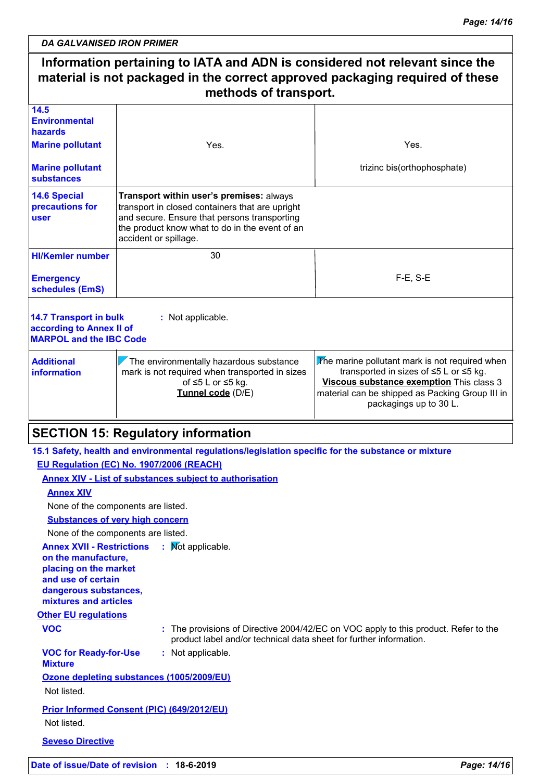#### **Information pertaining to IATA and ADN is considered not relevant since the material is not packaged in the correct approved packaging required of these methods of transport.** 30 F-E, S-E **HI/Kemler number 14.5 Environmental hazards 14.6 Special precautions for user 14.7 Transport in bulk according to Annex II of MARPOL and the IBC Code :** Not applicable. **Emergency schedules (EmS) Marine pollutant Marine pollutant substances** Yes. trizinc bis(orthophosphate) **Additional information**  $\nabla$  The environmentally hazardous substance mark is not required when transported in sizes of ≤5 L or ≤5 kg. **Tunnel code** (D/E)  $\sqrt{T}$ he marine pollutant mark is not required when transported in sizes of ≤5 L or ≤5 kg. **Viscous substance exemption** This class 3 material can be shipped as Packing Group III in packagings up to 30 L. Yes. **Transport within user's premises:** always transport in closed containers that are upright and secure. Ensure that persons transporting the product know what to do in the event of an accident or spillage. **SECTION 15: Regulatory information 15.1 Safety, health and environmental regulations/legislation specific for the substance or mixture EU Regulation (EC) No. 1907/2006 (REACH) Annex XIV - List of substances subject to authorisation Annex XIV Substances of very high concern** None of the components are listed.

None of the components are listed.

**Annex XVII - Restrictions : Mot applicable.** 

**on the manufacture, placing on the market and use of certain dangerous substances, mixtures and articles**

**Other EU regulations**

**VOC :** The provisions of Directive 2004/42/EC on VOC apply to this product. Refer to the product label and/or technical data sheet for further information.

**VOC for Ready-for-Use :** Not applicable.

**Mixture**

**Ozone depleting substances (1005/2009/EU)**

Not listed.

**Prior Informed Consent (PIC) (649/2012/EU)** Not listed.

**Seveso Directive**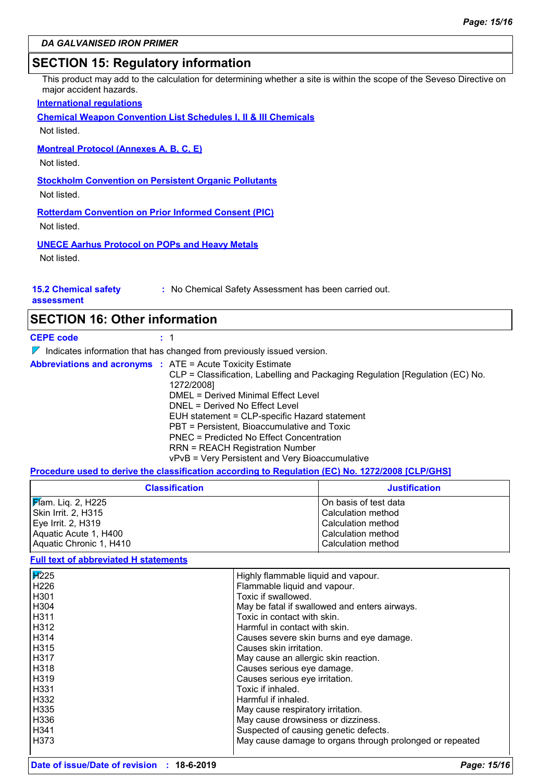#### **SECTION 15: Regulatory information**

This product may add to the calculation for determining whether a site is within the scope of the Seveso Directive on major accident hazards.

#### **International regulations**

**Chemical Weapon Convention List Schedules I, II & III Chemicals**

Not listed.

**Montreal Protocol (Annexes A, B, C, E)**

Not listed.

**Stockholm Convention on Persistent Organic Pollutants**

Not listed.

**Rotterdam Convention on Prior Informed Consent (PIC)**

Not listed.

**UNECE Aarhus Protocol on POPs and Heavy Metals**

Not listed.

#### **15.2 Chemical safety**

**:** No Chemical Safety Assessment has been carried out.

**assessment**

| <b>SECTION 16: Other information</b> |  |
|--------------------------------------|--|
|--------------------------------------|--|

| <b>CEPE code</b> | $\pm$ 1                                                                                                                                                                                                                                                                                                                                                                                                                                                                            |
|------------------|------------------------------------------------------------------------------------------------------------------------------------------------------------------------------------------------------------------------------------------------------------------------------------------------------------------------------------------------------------------------------------------------------------------------------------------------------------------------------------|
|                  | $\nabla$ Indicates information that has changed from previously issued version.                                                                                                                                                                                                                                                                                                                                                                                                    |
|                  | <b>Abbreviations and acronyms : ATE = Acute Toxicity Estimate</b><br>CLP = Classification, Labelling and Packaging Regulation [Regulation (EC) No.<br>1272/2008]<br>DMEL = Derived Minimal Effect Level<br>DNEL = Derived No Effect Level<br>EUH statement = CLP-specific Hazard statement<br>PBT = Persistent, Bioaccumulative and Toxic<br>PNEC = Predicted No Effect Concentration<br><b>RRN = REACH Registration Number</b><br>vPvB = Very Persistent and Very Bioaccumulative |

**Procedure used to derive the classification according to Regulation (EC) No. 1272/2008 [CLP/GHS]**

| <b>Classification</b>      | <b>Justification</b>    |
|----------------------------|-------------------------|
| <b>F</b> lam. Liq. 2, H225 | l On basis of test data |
| Skin Irrit. 2, H315        | l Calculation method    |
| Eye Irrit. 2, H319         | l Calculation method    |
| Aquatic Acute 1, H400      | l Calculation method    |
| Aquatic Chronic 1, H410    | Calculation method      |

#### **Full text of abbreviated H statements**

| $\overline{14225}$ | Highly flammable liquid and vapour.                      |
|--------------------|----------------------------------------------------------|
| H226               | Flammable liquid and vapour.                             |
| H301               | Toxic if swallowed.                                      |
| H304               | May be fatal if swallowed and enters airways.            |
| H311               | Toxic in contact with skin.                              |
| H312               | Harmful in contact with skin.                            |
| H314               | Causes severe skin burns and eye damage.                 |
| H315               | Causes skin irritation.                                  |
| H317               | May cause an allergic skin reaction.                     |
| H318               | Causes serious eye damage.                               |
| H319               | Causes serious eye irritation.                           |
| H331               | Toxic if inhaled.                                        |
| H332               | Harmful if inhaled.                                      |
| H335               | May cause respiratory irritation.                        |
| H336               | May cause drowsiness or dizziness.                       |
| H341               | Suspected of causing genetic defects.                    |
| H373               | May cause damage to organs through prolonged or repeated |
|                    |                                                          |